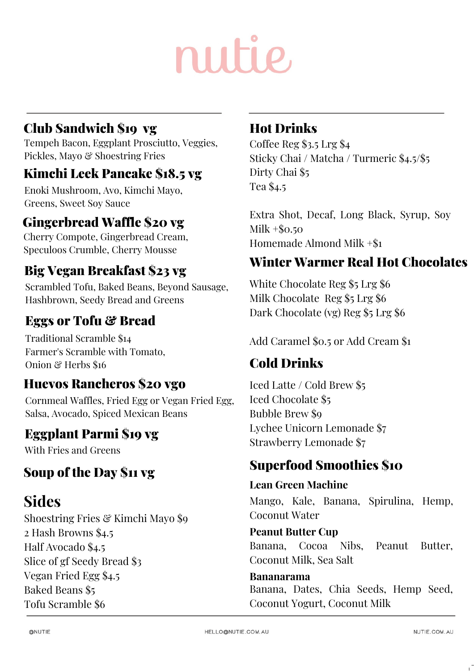## Club Sandwich \$19 vg

Tempeh Bacon, Eggplant Prosciutto, Veggies, Pickles, Mayo & Shoestring Fries

### Kimchi Leek Pancake \$18.5 vg

Enoki Mushroom, Avo, Kimchi Mayo, Greens, Sweet Soy Sauce

#### Gingerbread Waffle \$20 vg

Cherry Compote, Gingerbread Cream, Speculoos Crumble, Cherry Mousse

### Big Vegan Breakfast \$23 vg

Scrambled Tofu, Baked Beans, Beyond Sausage, Hashbrown, Seedy Bread and Greens

#### Eggs or Tofu & Bread

Traditional Scramble \$14 Farmer's Scramble with Tomato, Onion & Herbs \$16

#### Huevos Rancheros \$20 vgo

Cornmeal Waffles, Fried Egg or Vegan Fried Egg, Salsa, Avocado, Spiced Mexican Beans

#### Eggplant Parmi \$19 vg

With Fries and Greens

#### Soup of the Day \$11 vg

#### **Sides**

Shoestring Fries & Kimchi Mayo \$9 2 Hash Browns \$4.5 Half Avocado \$4.5 Slice of gf Seedy Bread \$3 Vegan Fried Egg \$4.5 Baked Beans \$5 Tofu Scramble \$6

#### Hot Drinks

Coffee Reg \$3.5 Lrg \$4 Sticky Chai / Matcha / Turmeric \$4.5/\$5 Dirty Chai \$5 Tea \$4.5

Extra Shot, Decaf, Long Black, Syrup, Soy Milk  $+$ \$0.50 Homemade Almond Milk +\$1

#### Winter Warmer Real Hot Chocolates

White Chocolate Reg \$5 Lrg \$6 Milk Chocolate Reg \$5 Lrg \$6 Dark Chocolate (vg) Reg \$5 Lrg \$6

Add Caramel \$0.5 or Add Cream \$1

## Cold Drinks

Iced Latte / Cold Brew \$5 Iced Chocolate \$5 Bubble Brew \$9 Lychee Unicorn Lemonade \$7 Strawberry Lemonade \$7

#### Superfood Smoothies \$10

#### **Lean Green Machine**

Mango, Kale, Banana, Spirulina, Hemp, Coconut Water

#### **Peanut Butter Cup**

Banana, Cocoa Nibs, Peanut Butter, Coconut Milk, Sea Salt

# **Bananarama**

Banana, Dates, Chia Seeds, Hemp Seed, Coconut Yogurt, Coconut Milk